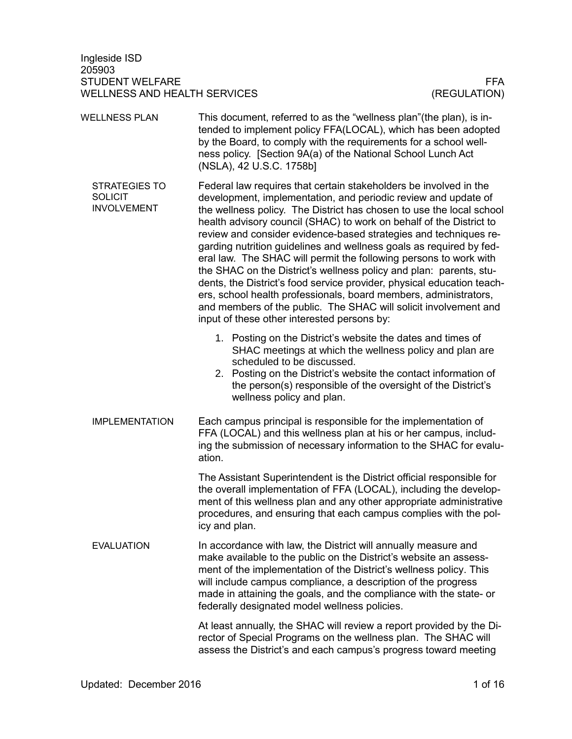Ingleside ISD 205903 STUDENT WELFARE FRAME AND STUDENT WELFARE FRAME. WELLNESS AND HEALTH SERVICES (REGULATION)

This document, referred to as the "wellness plan"(the plan), is intended to implement policy FFA(LOCAL), which has been adopted by the Board, to comply with the requirements for a school wellness policy. [Section 9A(a) of the National School Lunch Act (NSLA), 42 U.S.C. 1758b] Federal law requires that certain stakeholders be involved in the development, implementation, and periodic review and update of the wellness policy. The District has chosen to use the local school health advisory council (SHAC) to work on behalf of the District to review and consider evidence-based strategies and techniques regarding nutrition guidelines and wellness goals as required by federal law. The SHAC will permit the following persons to work with the SHAC on the District's wellness policy and plan: parents, students, the District's food service provider, physical education teachers, school health professionals, board members, administrators, and members of the public. The SHAC will solicit involvement and input of these other interested persons by: 1. Posting on the District's website the dates and times of SHAC meetings at which the wellness policy and plan are scheduled to be discussed. 2. Posting on the District's website the contact information of the person(s) responsible of the oversight of the District's wellness policy and plan. Each campus principal is responsible for the implementation of FFA (LOCAL) and this wellness plan at his or her campus, including the submission of necessary information to the SHAC for evaluation. The Assistant Superintendent is the District official responsible for the overall implementation of FFA (LOCAL), including the development of this wellness plan and any other appropriate administrative procedures, and ensuring that each campus complies with the policy and plan. In accordance with law, the District will annually measure and make available to the public on the District's website an assessment of the implementation of the District's wellness policy. This will include campus compliance, a description of the progress made in attaining the goals, and the compliance with the state- or federally designated model wellness policies. At least annually, the SHAC will review a report provided by the Director of Special Programs on the wellness plan. The SHAC will assess the District's and each campus's progress toward meeting WELLNESS PLAN STRATEGIES TO **SOLICIT** INVOLVEMENT IMPLEMENTATION EVALUATION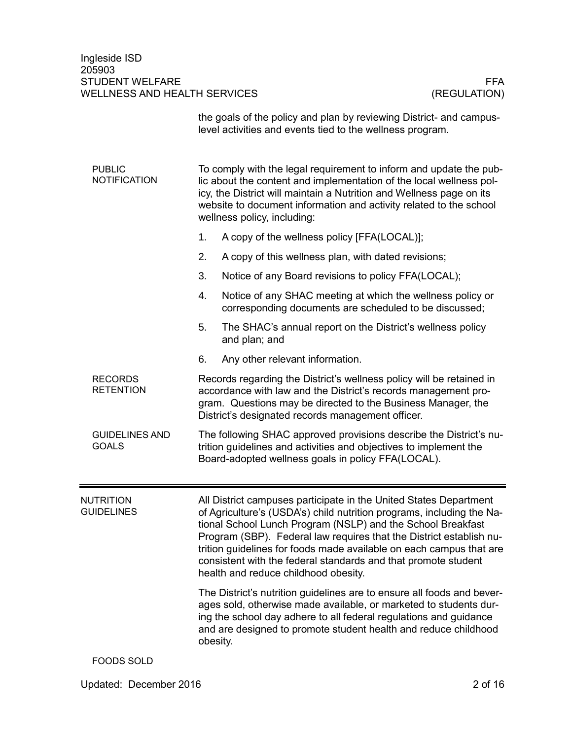Ingleside ISD 205903 STUDENT WELFARE FFA<br>WELLNESS AND HEALTH SERVICES (REGULATION) WELLNESS AND HEALTH SERVICES

|                                       | the goals of the policy and plan by reviewing District- and campus-<br>level activities and events tied to the wellness program.                                                                                                                                                                                                                                                                                                                                  |  |  |
|---------------------------------------|-------------------------------------------------------------------------------------------------------------------------------------------------------------------------------------------------------------------------------------------------------------------------------------------------------------------------------------------------------------------------------------------------------------------------------------------------------------------|--|--|
| <b>PUBLIC</b><br><b>NOTIFICATION</b>  | To comply with the legal requirement to inform and update the pub-<br>lic about the content and implementation of the local wellness pol-<br>icy, the District will maintain a Nutrition and Wellness page on its<br>website to document information and activity related to the school<br>wellness policy, including:                                                                                                                                            |  |  |
|                                       | 1.<br>A copy of the wellness policy [FFA(LOCAL)];                                                                                                                                                                                                                                                                                                                                                                                                                 |  |  |
|                                       | 2.<br>A copy of this wellness plan, with dated revisions;                                                                                                                                                                                                                                                                                                                                                                                                         |  |  |
|                                       | 3.<br>Notice of any Board revisions to policy FFA(LOCAL);                                                                                                                                                                                                                                                                                                                                                                                                         |  |  |
|                                       | 4.<br>Notice of any SHAC meeting at which the wellness policy or<br>corresponding documents are scheduled to be discussed;                                                                                                                                                                                                                                                                                                                                        |  |  |
|                                       | 5.<br>The SHAC's annual report on the District's wellness policy<br>and plan; and                                                                                                                                                                                                                                                                                                                                                                                 |  |  |
|                                       | 6.<br>Any other relevant information.                                                                                                                                                                                                                                                                                                                                                                                                                             |  |  |
| <b>RECORDS</b><br><b>RETENTION</b>    | Records regarding the District's wellness policy will be retained in<br>accordance with law and the District's records management pro-<br>gram. Questions may be directed to the Business Manager, the<br>District's designated records management officer.                                                                                                                                                                                                       |  |  |
| <b>GUIDELINES AND</b><br><b>GOALS</b> | The following SHAC approved provisions describe the District's nu-<br>trition guidelines and activities and objectives to implement the<br>Board-adopted wellness goals in policy FFA(LOCAL).                                                                                                                                                                                                                                                                     |  |  |
| <b>NUTRITION</b><br><b>GUIDELINES</b> | All District campuses participate in the United States Department<br>of Agriculture's (USDA's) child nutrition programs, including the Na-<br>tional School Lunch Program (NSLP) and the School Breakfast<br>Program (SBP). Federal law requires that the District establish nu-<br>trition guidelines for foods made available on each campus that are<br>consistent with the federal standards and that promote student<br>health and reduce childhood obesity. |  |  |
|                                       | The District's nutrition guidelines are to ensure all foods and bever-<br>ages sold, otherwise made available, or marketed to students dur-<br>ing the school day adhere to all federal regulations and guidance<br>and are designed to promote student health and reduce childhood<br>obesity.                                                                                                                                                                   |  |  |
| <b>FOODS SOLD</b>                     |                                                                                                                                                                                                                                                                                                                                                                                                                                                                   |  |  |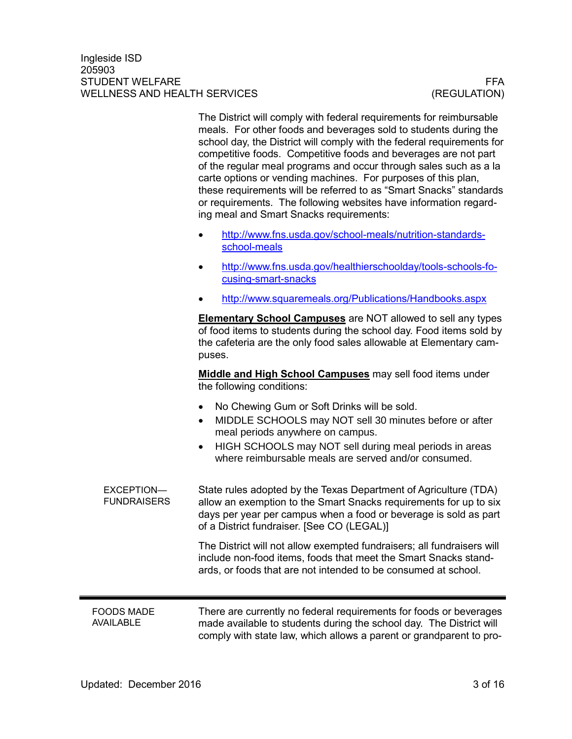The District will comply with federal requirements for reimbursable meals. For other foods and beverages sold to students during the school day, the District will comply with the federal requirements for competitive foods. Competitive foods and beverages are not part of the regular meal programs and occur through sales such as a la carte options or vending machines. For purposes of this plan, these requirements will be referred to as "Smart Snacks" standards or requirements. The following websites have information regarding meal and Smart Snacks requirements:

- [http://www.fns.usda.gov/school-meals/nutrition-standards](http://www.fns.usda.gov/school-meals/nutrition-standards-school-meals)[school-meals](http://www.fns.usda.gov/school-meals/nutrition-standards-school-meals)
- [http://www.fns.usda.gov/healthierschoolday/tools-schools-fo](http://www.fns.usda.gov/healthierschoolday/tools-schools-focusing-smart-snacks)[cusing-smart-snacks](http://www.fns.usda.gov/healthierschoolday/tools-schools-focusing-smart-snacks)
- <http://www.squaremeals.org/Publications/Handbooks.aspx>

**Elementary School Campuses** are NOT allowed to sell any types of food items to students during the school day. Food items sold by the cafeteria are the only food sales allowable at Elementary campuses.

**Middle and High School Campuses** may sell food items under the following conditions:

- No Chewing Gum or Soft Drinks will be sold.
- MIDDLE SCHOOLS may NOT sell 30 minutes before or after meal periods anywhere on campus.
- HIGH SCHOOLS may NOT sell during meal periods in areas where reimbursable meals are served and/or consumed.

State rules adopted by the Texas Department of Agriculture (TDA) allow an exemption to the Smart Snacks requirements for up to six days per year per campus when a food or beverage is sold as part of a District fundraiser. [See CO (LEGAL)] EXCEPTION— **FUNDRAISERS** 

> The District will not allow exempted fundraisers; all fundraisers will include non-food items, foods that meet the Smart Snacks standards, or foods that are not intended to be consumed at school.

#### FOODS MADE AVAILABLE

There are currently no federal requirements for foods or beverages made available to students during the school day. The District will comply with state law, which allows a parent or grandparent to pro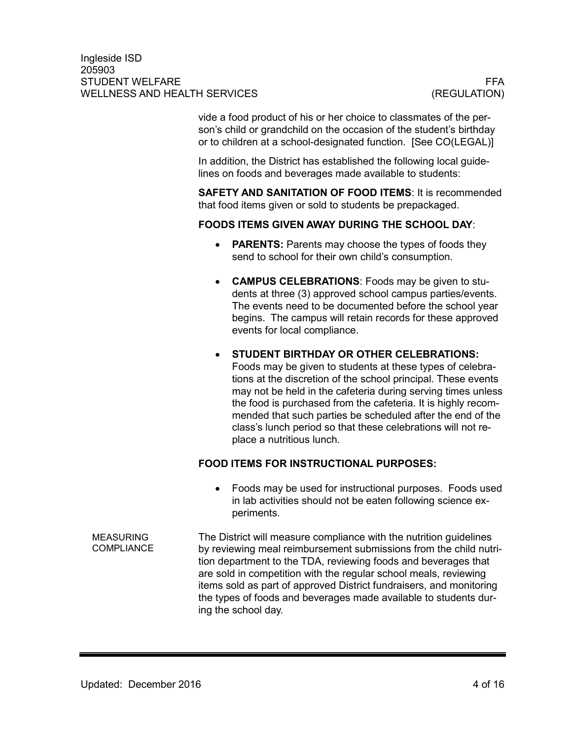vide a food product of his or her choice to classmates of the person's child or grandchild on the occasion of the student's birthday or to children at a school-designated function. [See CO(LEGAL)]

In addition, the District has established the following local guidelines on foods and beverages made available to students:

**SAFETY AND SANITATION OF FOOD ITEMS**: It is recommended that food items given or sold to students be prepackaged.

## **FOODS ITEMS GIVEN AWAY DURING THE SCHOOL DAY**:

- **PARENTS:** Parents may choose the types of foods they send to school for their own child's consumption.
- **CAMPUS CELEBRATIONS**: Foods may be given to students at three (3) approved school campus parties/events. The events need to be documented before the school year begins. The campus will retain records for these approved events for local compliance.
- **STUDENT BIRTHDAY OR OTHER CELEBRATIONS:**  Foods may be given to students at these types of celebrations at the discretion of the school principal. These events may not be held in the cafeteria during serving times unless the food is purchased from the cafeteria. It is highly recommended that such parties be scheduled after the end of the class's lunch period so that these celebrations will not replace a nutritious lunch.

# **FOOD ITEMS FOR INSTRUCTIONAL PURPOSES:**

• Foods may be used for instructional purposes. Foods used in lab activities should not be eaten following science experiments.

The District will measure compliance with the nutrition guidelines by reviewing meal reimbursement submissions from the child nutrition department to the TDA, reviewing foods and beverages that are sold in competition with the regular school meals, reviewing items sold as part of approved District fundraisers, and monitoring the types of foods and beverages made available to students during the school day. MEASURING **COMPLIANCE**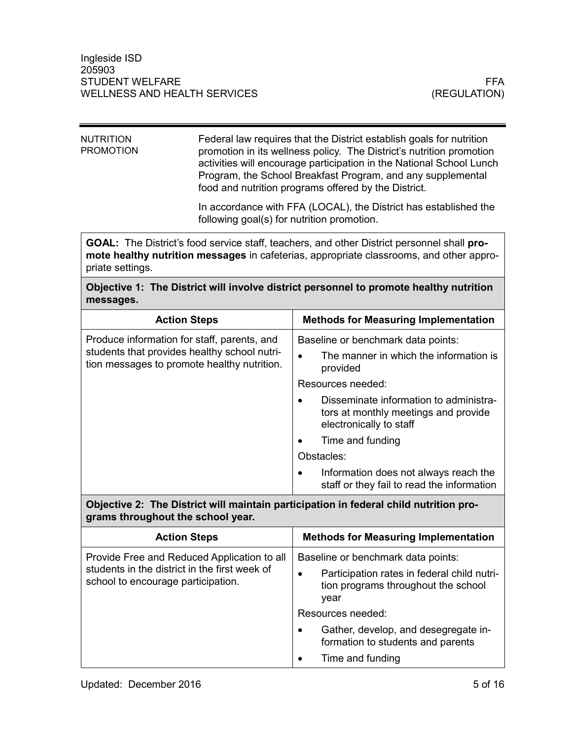| NUTRITION<br>PROMOTION | Federal law requires that the District establish goals for nutrition<br>promotion in its wellness policy. The District's nutrition promotion<br>activities will encourage participation in the National School Lunch<br>Program, the School Breakfast Program, and any supplemental<br>food and nutrition programs offered by the District. |
|------------------------|---------------------------------------------------------------------------------------------------------------------------------------------------------------------------------------------------------------------------------------------------------------------------------------------------------------------------------------------|
|                        | In accordance with FFA (LOCAL), the District has established the                                                                                                                                                                                                                                                                            |

following goal(s) for nutrition promotion.

**GOAL:** The District's food service staff, teachers, and other District personnel shall **promote healthy nutrition messages** in cafeterias, appropriate classrooms, and other appropriate settings.

# **Objective 1: The District will involve district personnel to promote healthy nutrition messages.**

| <b>Action Steps</b>                                                                         | <b>Methods for Measuring Implementation</b>                                                               |
|---------------------------------------------------------------------------------------------|-----------------------------------------------------------------------------------------------------------|
| Produce information for staff, parents, and                                                 | Baseline or benchmark data points:                                                                        |
| students that provides healthy school nutri-<br>tion messages to promote healthy nutrition. | The manner in which the information is<br>provided                                                        |
|                                                                                             | Resources needed:                                                                                         |
|                                                                                             | Disseminate information to administra-<br>tors at monthly meetings and provide<br>electronically to staff |
|                                                                                             | Time and funding                                                                                          |
|                                                                                             | Obstacles:                                                                                                |
|                                                                                             | Information does not always reach the<br>staff or they fail to read the information                       |

**Objective 2: The District will maintain participation in federal child nutrition programs throughout the school year.**

| <b>Action Steps</b>                                                                                                                | <b>Methods for Measuring Implementation</b>                                                                                      |
|------------------------------------------------------------------------------------------------------------------------------------|----------------------------------------------------------------------------------------------------------------------------------|
| Provide Free and Reduced Application to all<br>students in the district in the first week of<br>school to encourage participation. | Baseline or benchmark data points:<br>Participation rates in federal child nutri-<br>tion programs throughout the school<br>year |
|                                                                                                                                    | Resources needed:                                                                                                                |
|                                                                                                                                    | Gather, develop, and desegregate in-<br>$\bullet$<br>formation to students and parents                                           |
|                                                                                                                                    | Time and funding                                                                                                                 |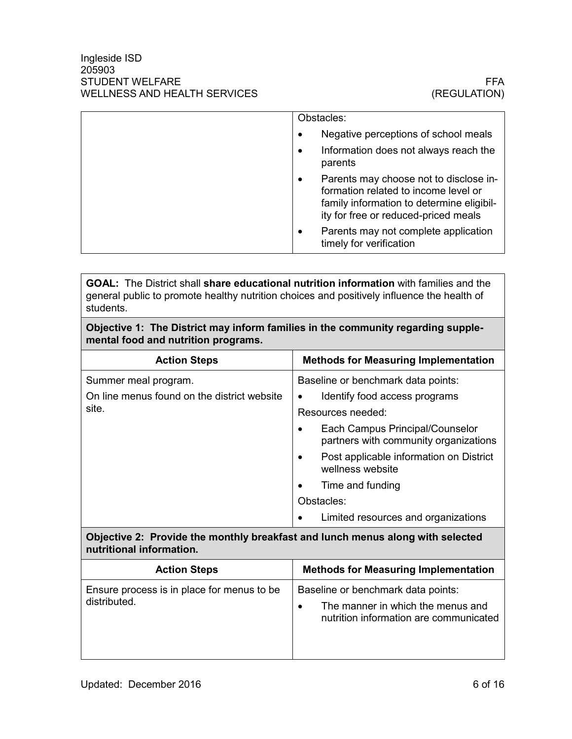|  |           | Obstacles:                                                                                                                                                          |
|--|-----------|---------------------------------------------------------------------------------------------------------------------------------------------------------------------|
|  |           | Negative perceptions of school meals                                                                                                                                |
|  | ٠         | Information does not always reach the<br>parents                                                                                                                    |
|  | $\bullet$ | Parents may choose not to disclose in-<br>formation related to income level or<br>family information to determine eligibil-<br>ity for free or reduced-priced meals |
|  | $\bullet$ | Parents may not complete application<br>timely for verification                                                                                                     |
|  |           |                                                                                                                                                                     |

**GOAL:** The District shall **share educational nutrition information** with families and the general public to promote healthy nutrition choices and positively influence the health of students.

## **Objective 1: The District may inform families in the community regarding supplemental food and nutrition programs.**

| <b>Action Steps</b>                         | <b>Methods for Measuring Implementation</b>                              |
|---------------------------------------------|--------------------------------------------------------------------------|
| Summer meal program.                        | Baseline or benchmark data points:                                       |
| On line menus found on the district website | Identify food access programs                                            |
| site.                                       | Resources needed:                                                        |
|                                             | Each Campus Principal/Counselor<br>partners with community organizations |
|                                             | Post applicable information on District<br>wellness website              |
|                                             | Time and funding                                                         |
|                                             | Obstacles:                                                               |
|                                             | Limited resources and organizations                                      |

## **Objective 2: Provide the monthly breakfast and lunch menus along with selected nutritional information.**

| <b>Action Steps</b>                                         | <b>Methods for Measuring Implementation</b>                                                                                    |
|-------------------------------------------------------------|--------------------------------------------------------------------------------------------------------------------------------|
| Ensure process is in place for menus to be.<br>distributed. | Baseline or benchmark data points:<br>The manner in which the menus and<br>$\bullet$<br>nutrition information are communicated |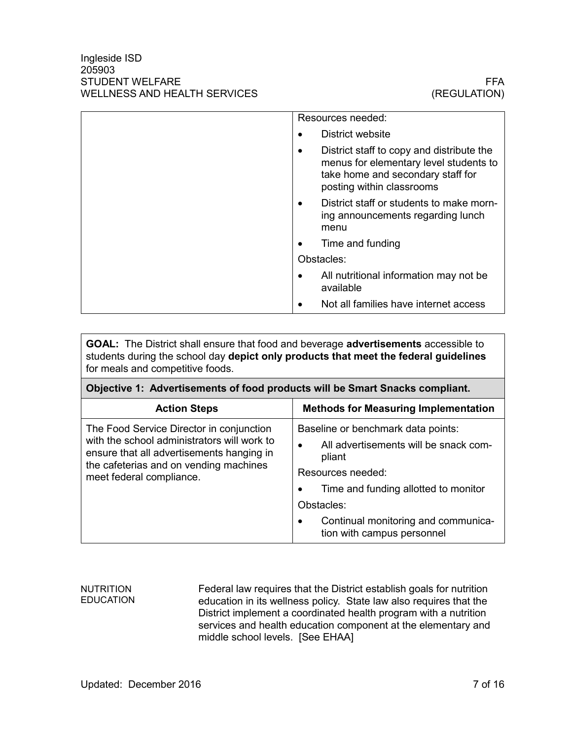| Resources needed:                                                                                                                                                  |
|--------------------------------------------------------------------------------------------------------------------------------------------------------------------|
| District website                                                                                                                                                   |
| District staff to copy and distribute the<br>$\bullet$<br>menus for elementary level students to<br>take home and secondary staff for<br>posting within classrooms |
| District staff or students to make morn-<br>ing announcements regarding lunch<br>menu                                                                              |
| Time and funding                                                                                                                                                   |
| Obstacles:                                                                                                                                                         |
| All nutritional information may not be<br>available                                                                                                                |
| Not all families have internet access                                                                                                                              |

**GOAL:** The District shall ensure that food and beverage **advertisements** accessible to students during the school day **depict only products that meet the federal guidelines** for meals and competitive foods.

| Objective 1: Advertisements of food products will be Smart Snacks compliant.                                                                                                                               |                                                                   |  |
|------------------------------------------------------------------------------------------------------------------------------------------------------------------------------------------------------------|-------------------------------------------------------------------|--|
| <b>Action Steps</b>                                                                                                                                                                                        | <b>Methods for Measuring Implementation</b>                       |  |
| The Food Service Director in conjunction<br>with the school administrators will work to<br>ensure that all advertisements hanging in<br>the cafeterias and on vending machines<br>meet federal compliance. | Baseline or benchmark data points:                                |  |
|                                                                                                                                                                                                            | All advertisements will be snack com-<br>$\bullet$<br>pliant      |  |
|                                                                                                                                                                                                            | Resources needed:                                                 |  |
|                                                                                                                                                                                                            | Time and funding allotted to monitor                              |  |
|                                                                                                                                                                                                            | Obstacles:                                                        |  |
|                                                                                                                                                                                                            | Continual monitoring and communica-<br>tion with campus personnel |  |

#### NUTRITION **EDUCATION**

Federal law requires that the District establish goals for nutrition education in its wellness policy. State law also requires that the District implement a coordinated health program with a nutrition services and health education component at the elementary and middle school levels. [See EHAA]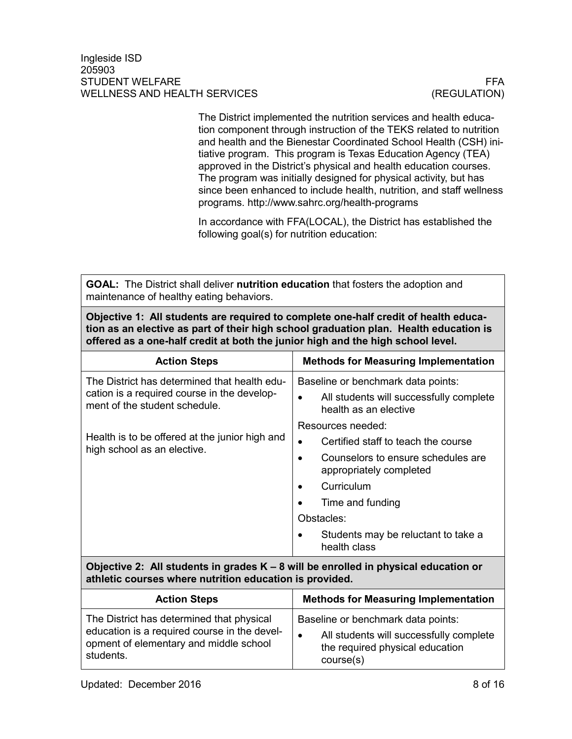The District implemented the nutrition services and health education component through instruction of the TEKS related to nutrition and health and the Bienestar Coordinated School Health (CSH) initiative program. This program is Texas Education Agency (TEA) approved in the District's physical and health education courses. The program was initially designed for physical activity, but has since been enhanced to include health, nutrition, and staff wellness programs. http://www.sahrc.org/health-programs

In accordance with FFA(LOCAL), the District has established the following goal(s) for nutrition education:

**GOAL:** The District shall deliver **nutrition education** that fosters the adoption and maintenance of healthy eating behaviors.

**Objective 1: All students are required to complete one-half credit of health education as an elective as part of their high school graduation plan. Health education is offered as a one-half credit at both the junior high and the high school level.**

| <b>Action Steps</b>                                                           | <b>Methods for Measuring Implementation</b>                      |
|-------------------------------------------------------------------------------|------------------------------------------------------------------|
| The District has determined that health edu-                                  | Baseline or benchmark data points:                               |
| cation is a required course in the develop-<br>ment of the student schedule.  | All students will successfully complete<br>health as an elective |
|                                                                               | Resources needed:                                                |
| Health is to be offered at the junior high and<br>high school as an elective. | Certified staff to teach the course<br>$\bullet$                 |
|                                                                               | Counselors to ensure schedules are<br>appropriately completed    |
|                                                                               | Curriculum                                                       |
|                                                                               | Time and funding                                                 |
|                                                                               | Obstacles:                                                       |
|                                                                               | Students may be reluctant to take a<br>health class              |

**Objective 2: All students in grades K – 8 will be enrolled in physical education or athletic courses where nutrition education is provided.**

| <b>Action Steps</b>                                                                                                                              | <b>Methods for Measuring Implementation</b>                                                                                                |
|--------------------------------------------------------------------------------------------------------------------------------------------------|--------------------------------------------------------------------------------------------------------------------------------------------|
| The District has determined that physical<br>education is a required course in the devel-<br>opment of elementary and middle school<br>students. | Baseline or benchmark data points:<br>All students will successfully complete<br>$\bullet$<br>the required physical education<br>course(s) |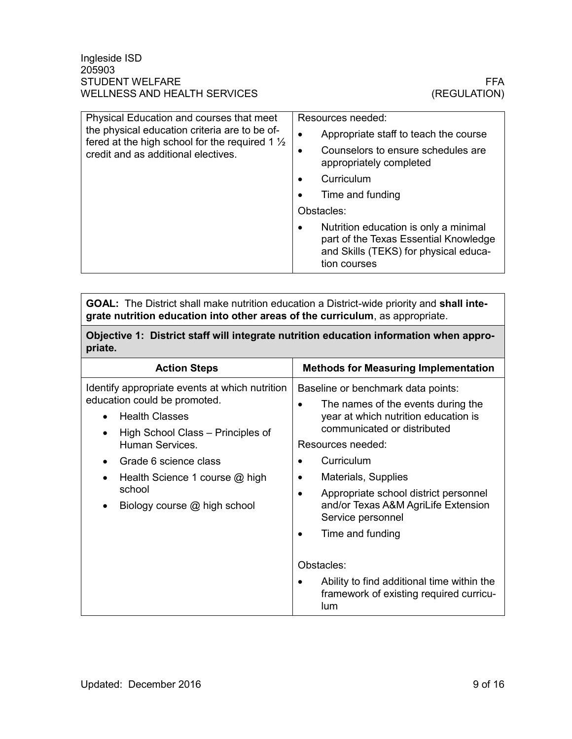| Physical Education and courses that meet<br>the physical education criteria are to be of-<br>fered at the high school for the required 1 $\frac{1}{2}$<br>credit and as additional electives. | Resources needed:                                                                                                                                    |  |
|-----------------------------------------------------------------------------------------------------------------------------------------------------------------------------------------------|------------------------------------------------------------------------------------------------------------------------------------------------------|--|
|                                                                                                                                                                                               | Appropriate staff to teach the course<br>٠                                                                                                           |  |
|                                                                                                                                                                                               | Counselors to ensure schedules are<br>$\bullet$<br>appropriately completed                                                                           |  |
|                                                                                                                                                                                               | Curriculum<br>$\bullet$                                                                                                                              |  |
|                                                                                                                                                                                               | Time and funding                                                                                                                                     |  |
|                                                                                                                                                                                               | Obstacles:                                                                                                                                           |  |
|                                                                                                                                                                                               | Nutrition education is only a minimal<br>$\bullet$<br>part of the Texas Essential Knowledge<br>and Skills (TEKS) for physical educa-<br>tion courses |  |

**GOAL:** The District shall make nutrition education a District-wide priority and **shall integrate nutrition education into other areas of the curriculum**, as appropriate.

**Objective 1: District staff will integrate nutrition education information when appropriate.**

| <b>Action Steps</b>                                   | <b>Methods for Measuring Implementation</b>                                                       |
|-------------------------------------------------------|---------------------------------------------------------------------------------------------------|
| Identify appropriate events at which nutrition        | Baseline or benchmark data points:                                                                |
| education could be promoted.<br><b>Health Classes</b> | The names of the events during the<br>year at which nutrition education is                        |
| High School Class – Principles of<br>Human Services.  | communicated or distributed<br>Resources needed:                                                  |
| Grade 6 science class                                 | Curriculum                                                                                        |
| Health Science 1 course @ high                        | Materials, Supplies                                                                               |
| school<br>Biology course @ high school                | Appropriate school district personnel<br>and/or Texas A&M AgriLife Extension<br>Service personnel |
|                                                       | Time and funding                                                                                  |
|                                                       | Obstacles:                                                                                        |
|                                                       | Ability to find additional time within the<br>framework of existing required curricu-<br>lum      |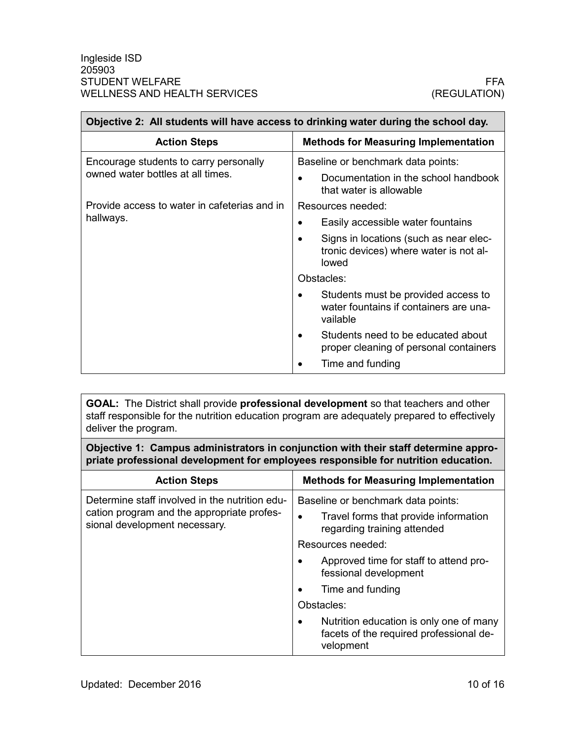П

| Objective 2: All students will have access to drinking water during the school day. |                                                                                           |
|-------------------------------------------------------------------------------------|-------------------------------------------------------------------------------------------|
| <b>Action Steps</b>                                                                 | <b>Methods for Measuring Implementation</b>                                               |
| Encourage students to carry personally<br>owned water bottles at all times.         | Baseline or benchmark data points:                                                        |
|                                                                                     | Documentation in the school handbook<br>that water is allowable                           |
| Provide access to water in cafeterias and in                                        | Resources needed:                                                                         |
| hallways.                                                                           | Easily accessible water fountains<br>$\bullet$                                            |
|                                                                                     | Signs in locations (such as near elec-<br>tronic devices) where water is not al-<br>lowed |
|                                                                                     | Obstacles:                                                                                |
|                                                                                     | Students must be provided access to<br>water fountains if containers are una-<br>vailable |
|                                                                                     | Students need to be educated about<br>proper cleaning of personal containers              |
|                                                                                     | Time and funding                                                                          |

**GOAL:** The District shall provide **professional development** so that teachers and other staff responsible for the nutrition education program are adequately prepared to effectively deliver the program.

**Objective 1: Campus administrators in conjunction with their staff determine appropriate professional development for employees responsible for nutrition education.**

| <b>Action Steps</b>                                                                                                           | <b>Methods for Measuring Implementation</b>                                                                  |
|-------------------------------------------------------------------------------------------------------------------------------|--------------------------------------------------------------------------------------------------------------|
| Determine staff involved in the nutrition edu-<br>cation program and the appropriate profes-<br>sional development necessary. | Baseline or benchmark data points:                                                                           |
|                                                                                                                               | Travel forms that provide information<br>regarding training attended                                         |
|                                                                                                                               | Resources needed:                                                                                            |
|                                                                                                                               | Approved time for staff to attend pro-<br>fessional development                                              |
|                                                                                                                               | Time and funding                                                                                             |
|                                                                                                                               | Obstacles:                                                                                                   |
|                                                                                                                               | Nutrition education is only one of many<br>$\bullet$<br>facets of the required professional de-<br>velopment |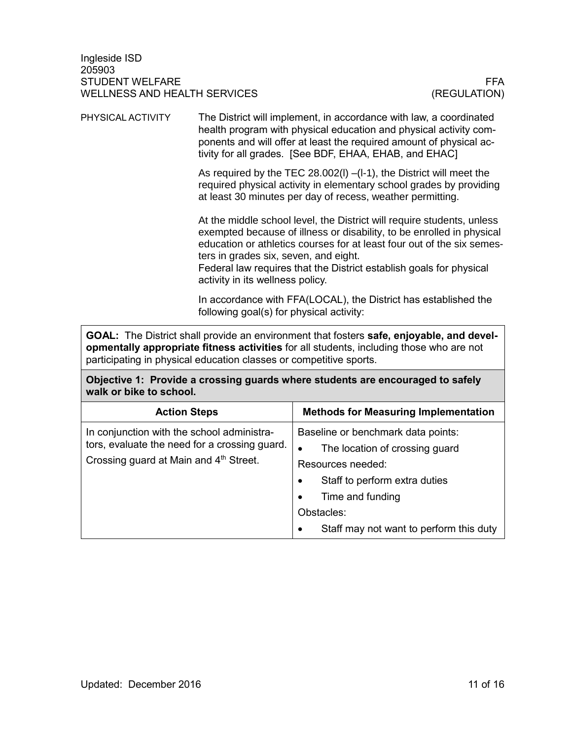The District will implement, in accordance with law, a coordinated health program with physical education and physical activity components and will offer at least the required amount of physical activity for all grades. [See BDF, EHAA, EHAB, and EHAC] PHYSICAL ACTIVITY

> As required by the TEC 28.002(l) –(l-1), the District will meet the required physical activity in elementary school grades by providing at least 30 minutes per day of recess, weather permitting.

> At the middle school level, the District will require students, unless exempted because of illness or disability, to be enrolled in physical education or athletics courses for at least four out of the six semesters in grades six, seven, and eight.

Federal law requires that the District establish goals for physical activity in its wellness policy.

In accordance with FFA(LOCAL), the District has established the following goal(s) for physical activity:

**GOAL:** The District shall provide an environment that fosters **safe, enjoyable, and developmentally appropriate fitness activities** for all students, including those who are not participating in physical education classes or competitive sports.

**Objective 1: Provide a crossing guards where students are encouraged to safely walk or bike to school.**

| <b>Action Steps</b>                                                                                                                   | <b>Methods for Measuring Implementation</b>                                                                                                                                                 |
|---------------------------------------------------------------------------------------------------------------------------------------|---------------------------------------------------------------------------------------------------------------------------------------------------------------------------------------------|
| In conjunction with the school administra-<br>tors, evaluate the need for a crossing guard.<br>Crossing guard at Main and 4th Street. | Baseline or benchmark data points:<br>The location of crossing guard<br>٠<br>Resources needed:<br>Staff to perform extra duties<br>$\bullet$<br>Time and funding<br>$\bullet$<br>Obstacles: |
|                                                                                                                                       | Staff may not want to perform this duty<br>$\bullet$                                                                                                                                        |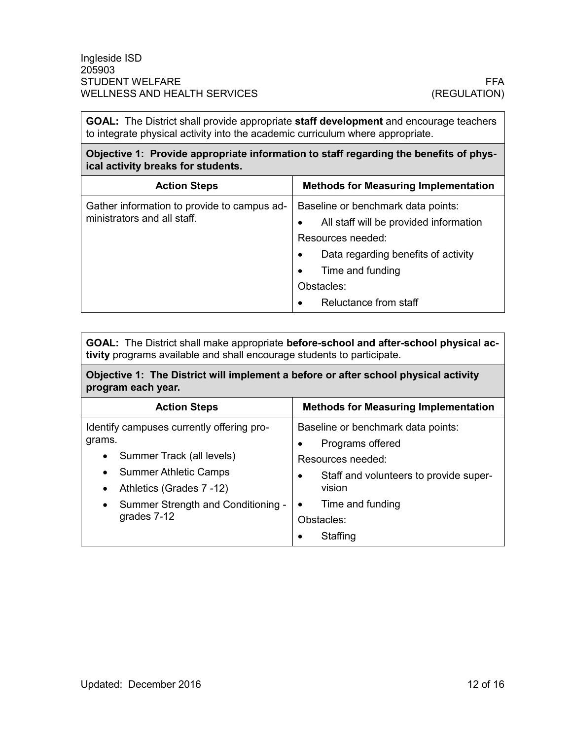**GOAL:** The District shall provide appropriate **staff development** and encourage teachers to integrate physical activity into the academic curriculum where appropriate.

**Objective 1: Provide appropriate information to staff regarding the benefits of physical activity breaks for students.**

| <b>Action Steps</b>                                                        | <b>Methods for Measuring Implementation</b>                                                                                                                                                                                                             |
|----------------------------------------------------------------------------|---------------------------------------------------------------------------------------------------------------------------------------------------------------------------------------------------------------------------------------------------------|
| Gather information to provide to campus ad-<br>ministrators and all staff. | Baseline or benchmark data points:<br>All staff will be provided information<br>$\bullet$<br>Resources needed:<br>Data regarding benefits of activity<br>$\bullet$<br>Time and funding<br>$\bullet$<br>Obstacles:<br>Reluctance from staff<br>$\bullet$ |

**GOAL:** The District shall make appropriate **before-school and after-school physical activity** programs available and shall encourage students to participate.

**Objective 1: The District will implement a before or after school physical activity program each year.** 

| <b>Action Steps</b>                                                       | <b>Methods for Measuring Implementation</b>            |
|---------------------------------------------------------------------------|--------------------------------------------------------|
| Identify campuses currently offering pro-<br>grams.                       | Baseline or benchmark data points:<br>Programs offered |
| Summer Track (all levels)<br>$\bullet$                                    | Resources needed:                                      |
| <b>Summer Athletic Camps</b><br>$\bullet$<br>Athletics (Grades 7-12)<br>٠ | Staff and volunteers to provide super-<br>٠<br>vision  |
| Summer Strength and Conditioning<br>$\bullet$                             | Time and funding                                       |
| grades 7-12                                                               | Obstacles:<br>Staffing                                 |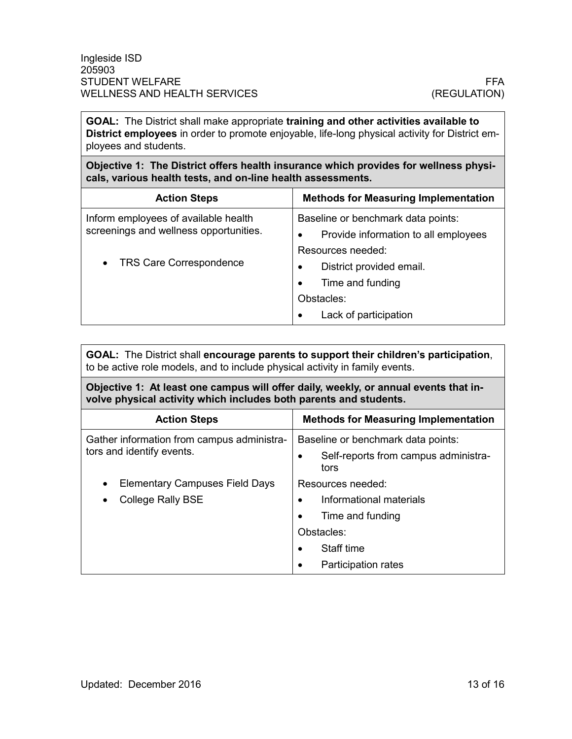**GOAL:** The District shall make appropriate **training and other activities available to District employees** in order to promote enjoyable, life-long physical activity for District employees and students.

**Objective 1: The District offers health insurance which provides for wellness physicals, various health tests, and on-line health assessments.** 

| <b>Action Steps</b>                    | <b>Methods for Measuring Implementation</b> |
|----------------------------------------|---------------------------------------------|
| Inform employees of available health   | Baseline or benchmark data points:          |
| screenings and wellness opportunities. | Provide information to all employees<br>٠   |
| <b>TRS Care Correspondence</b>         | Resources needed:                           |
|                                        | District provided email.<br>٠               |
|                                        | Time and funding<br>$\bullet$               |
|                                        | Obstacles:                                  |
|                                        | Lack of participation<br>٠                  |

**GOAL:** The District shall **encourage parents to support their children's participation**, to be active role models, and to include physical activity in family events.

**Objective 1: At least one campus will offer daily, weekly, or annual events that involve physical activity which includes both parents and students.**

| <b>Action Steps</b>                                                         | <b>Methods for Measuring Implementation</b>                                                                                                                             |
|-----------------------------------------------------------------------------|-------------------------------------------------------------------------------------------------------------------------------------------------------------------------|
| Gather information from campus administra-<br>tors and identify events.     | Baseline or benchmark data points:<br>Self-reports from campus administra-<br>$\bullet$<br>tors                                                                         |
| <b>Elementary Campuses Field Days</b><br>٠<br><b>College Rally BSE</b><br>٠ | Resources needed:<br>Informational materials<br>$\bullet$<br>Time and funding<br>$\bullet$<br>Obstacles:<br>Staff time<br>$\bullet$<br>Participation rates<br>$\bullet$ |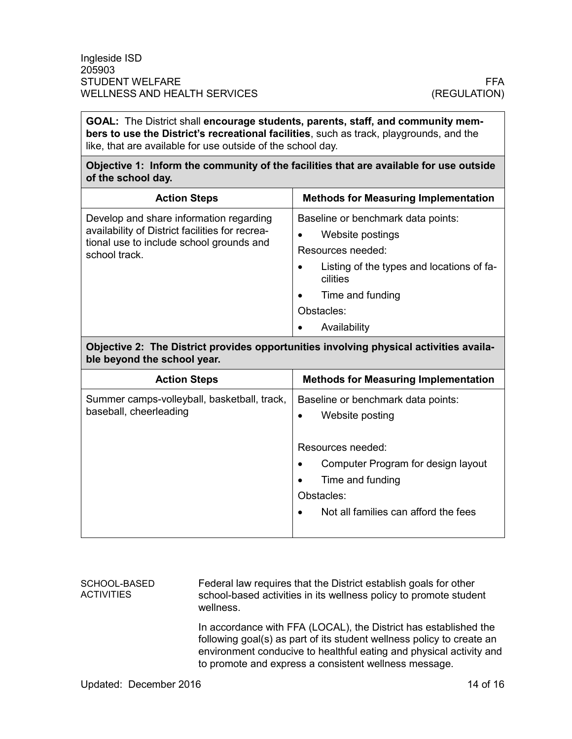**GOAL:** The District shall **encourage students, parents, staff, and community members to use the District's recreational facilities**, such as track, playgrounds, and the like, that are available for use outside of the school day.

**Objective 1: Inform the community of the facilities that are available for use outside of the school day.**

| <b>Action Steps</b>                                                                                                                                     | <b>Methods for Measuring Implementation</b>                                                                                                                                                                           |
|---------------------------------------------------------------------------------------------------------------------------------------------------------|-----------------------------------------------------------------------------------------------------------------------------------------------------------------------------------------------------------------------|
| Develop and share information regarding<br>availability of District facilities for recrea-<br>tional use to include school grounds and<br>school track. | Baseline or benchmark data points:<br>Website postings<br>Resources needed:<br>Listing of the types and locations of fa-<br>$\bullet$<br>cilities<br>Time and funding<br>$\bullet$<br>Obstacles:<br>Availability<br>٠ |

### **Objective 2: The District provides opportunities involving physical activities available beyond the school year.**

| <b>Action Steps</b>                                                   | <b>Methods for Measuring Implementation</b>                        |
|-----------------------------------------------------------------------|--------------------------------------------------------------------|
| Summer camps-volleyball, basketball, track,<br>baseball, cheerleading | Baseline or benchmark data points:<br>Website posting<br>$\bullet$ |
|                                                                       | Resources needed:                                                  |
|                                                                       | Computer Program for design layout                                 |
|                                                                       | Time and funding                                                   |
|                                                                       | Obstacles:                                                         |
|                                                                       | Not all families can afford the fees                               |
|                                                                       |                                                                    |

#### SCHOOL-BASED **ACTIVITIES**

Federal law requires that the District establish goals for other school-based activities in its wellness policy to promote student wellness.

In accordance with FFA (LOCAL), the District has established the following goal(s) as part of its student wellness policy to create an environment conducive to healthful eating and physical activity and to promote and express a consistent wellness message.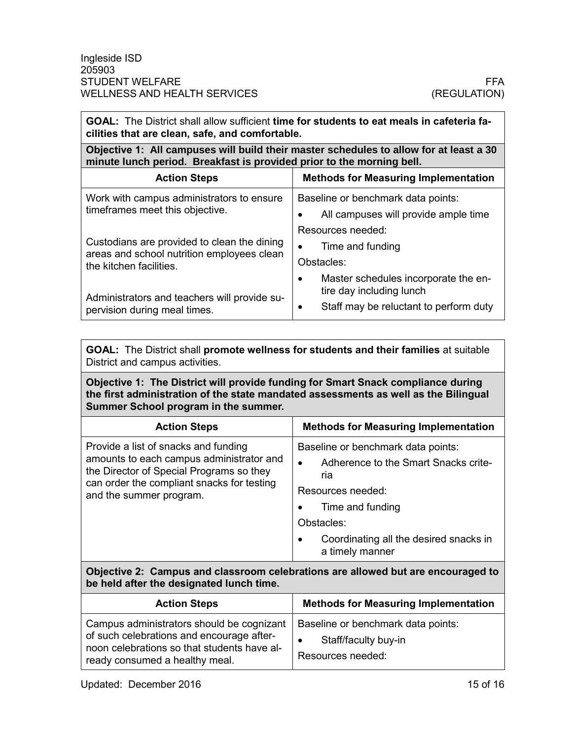| GOAL: The District shall allow sufficient time for students to eat meals in cafeteria fa-<br>cilities that are clean, safe, and comfortable.                    |                                                                            |
|-----------------------------------------------------------------------------------------------------------------------------------------------------------------|----------------------------------------------------------------------------|
| Objective 1: All campuses will build their master schedules to allow for at least a 30<br>minute lunch period. Breakfast is provided prior to the morning bell. |                                                                            |
| <b>Action Steps</b>                                                                                                                                             | <b>Methods for Measuring Implementation</b>                                |
| Work with campus administrators to ensure<br>timeframes meet this objective.                                                                                    | Baseline or benchmark data points:<br>All campuses will provide ample time |
| Custodians are provided to clean the dining                                                                                                                     | Resources needed:<br>Time and funding<br>$\bullet$                         |
| areas and school nutrition employees clean<br>the kitchen facilities.                                                                                           | Obstacles:<br>Master schedules incorporate the en-<br>$\bullet$            |
| Administrators and teachers will provide su-<br>pervision during meal times.                                                                                    | tire day including lunch<br>Staff may be reluctant to perform duty<br>٠    |

**GOAL:** The District shall **promote wellness for students and their families** at suitable District and campus activities.

**Objective 1: The District will provide funding for Smart Snack compliance during the first administration of the state mandated assessments as well as the Bilingual Summer School program in the summer.**

| <b>Action Steps</b>                                                                                                                                                                                   | <b>Methods for Measuring Implementation</b>                                                                                                                                                                        |
|-------------------------------------------------------------------------------------------------------------------------------------------------------------------------------------------------------|--------------------------------------------------------------------------------------------------------------------------------------------------------------------------------------------------------------------|
| Provide a list of snacks and funding<br>amounts to each campus administrator and<br>the Director of Special Programs so they<br>can order the compliant snacks for testing<br>and the summer program. | Baseline or benchmark data points:<br>Adherence to the Smart Snacks crite-<br>ria<br>Resources needed:<br>Time and funding<br>Obstacles:<br>Coordinating all the desired snacks in<br>$\bullet$<br>a timely manner |

**Objective 2: Campus and classroom celebrations are allowed but are encouraged to be held after the designated lunch time.**

| <b>Action Steps</b>                                                                                                                                                     | <b>Methods for Measuring Implementation</b>                                     |
|-------------------------------------------------------------------------------------------------------------------------------------------------------------------------|---------------------------------------------------------------------------------|
| Campus administrators should be cognizant<br>of such celebrations and encourage after-<br>noon celebrations so that students have al-<br>ready consumed a healthy meal. | Baseline or benchmark data points:<br>Staff/faculty buy-in<br>Resources needed: |